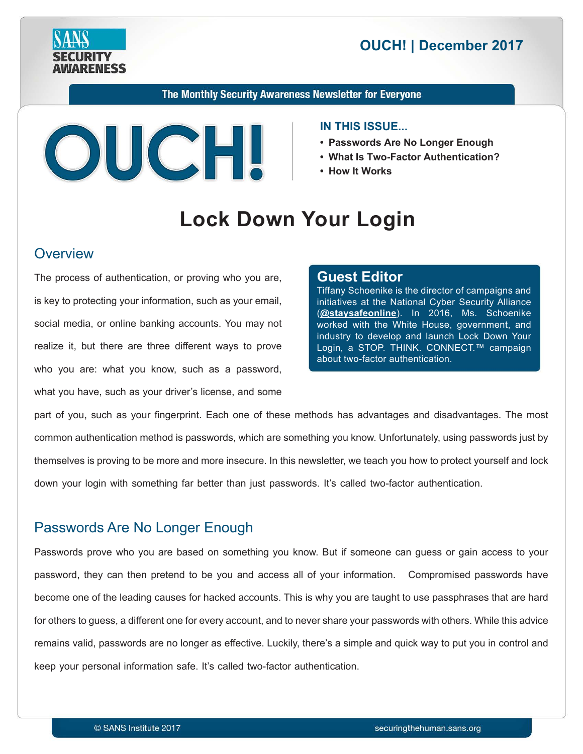

# **2017 December 2017**

The Monthly Security Awareness Newsletter for Everyone



#### **IN THIS ISSUE...**

- Passwords Are No Longer Enough
- What Is Two-Factor Authentication?
- How It Works

# **Lock Down Your Login**

#### **Overview**

The process of authentication, or proving who you are, is key to protecting your information, such as your email, social media, or online banking accounts. You may not realize it, but there are three different ways to prove who you are: what you know, such as a password, what you have, such as your driver's license, and some

#### **Editor Guest**

Tiffany Schoenike is the director of campaigns and initiatives at the National Cyber Security Alliance (**@[staysafeonline](https://twitter.com/StaySafeOnline?ref_src=twsrc%5Egoogle%7Ctwcamp%5Eserp%7Ctwgr%5Eauthor)**). In 2016, Ms. Schoenike worked with the White House, government, and industry to develop and launch Lock Down Your Login, a STOP. THINK. CONNECT.™ campaign about two-factor authentication.

part of you, such as your fingerprint. Each one of these methods has advantages and disadvantages. The most common authentication method is passwords, which are something you know. Unfortunately, using passwords just by themselves is proving to be more and more insecure. In this newsletter, we teach you how to protect yourself and lock down your login with something far better than just passwords. It's called two-factor authentication.

## Passwords Are No Longer Enough

Passwords prove who you are based on something you know. But if someone can guess or gain access to your password, they can then pretend to be you and access all of your information. Compromised passwords have become one of the leading causes for hacked accounts. This is why you are taught to use passphrases that are hard for others to guess, a different one for every account, and to never share your passwords with others. While this advice remains valid, passwords are no longer as effective. Luckily, there's a simple and quick way to put you in control and keep your personal information safe. It's called two-factor authentication.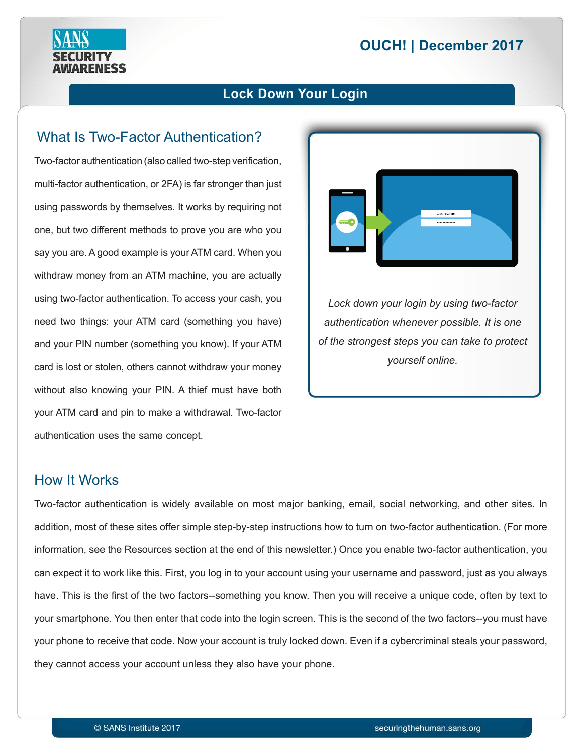# **2017 December 2017**



## What Is Two-Factor Authentication?

**RENESS** 

Two-factor authentication (also called two-step verification, multi-factor authentication, or 2FA) is far stronger than just using passwords by themselves. It works by requiring not one, but two different methods to prove you are who you say you are. A good example is your ATM card. When you withdraw money from an ATM machine, you are actually using two-factor authentication. To access your cash, you need two things: your ATM card (something you have) and your PIN number (something you know). If your ATM card is lost or stolen, others cannot withdraw your money without also knowing your PIN. A thief must have both your ATM card and pin to make a withdrawal. Two-factor authentication uses the same concept.



Lock down your login by using two-factor *authentication whenever possible. It is one of the strongest steps you can take to protect vourself* online.

#### How It Works

Two-factor authentication is widely available on most major banking, email, social networking, and other sites. In addition, most of these sites offer simple step-by-step instructions how to turn on two-factor authentication. (For more information, see the Resources section at the end of this newsletter.) Once you enable two-factor authentication, you can expect it to work like this. First, you log in to your account using your username and password, just as you always have. This is the first of the two factors--something you know. Then you will receive a unique code, often by text to your smartphone. You then enter that code into the login screen. This is the second of the two factors--you must have your phone to receive that code. Now your account is truly locked down. Even if a cybercriminal steals your password, they cannot access your account unless they also have your phone.